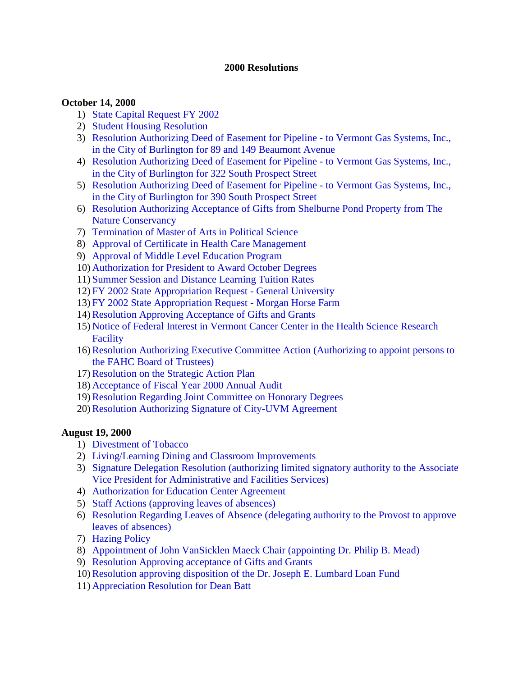#### **2000 Resolutions**

#### **October 14, 2000**

- 1) [State Capital Request FY 2002](#page-2-0)
- 2) [Student Housing Resolution](#page-2-0)
- 3) [Resolution Authorizing Deed of Easement for Pipeline to Vermont Gas Systems, Inc.,](#page-3-0) in the City of Burlington for 89 and 149 Beaumont Avenue
- 4) [Resolution Authorizing Deed of Easement for Pipeline to Vermont Gas Systems, Inc.,](#page-3-0) in the City of Burlington for 322 South Prospect Street
- 5) [Resolution Authorizing Deed of Easement for Pipeline to Vermont Gas Systems, Inc.,](#page-4-0) in the City of Burlington for 390 South Prospect Street
- 6) [Resolution Authorizing Acceptance of Gifts from Shelburne Pond Property from The](#page-4-0) Nature Conservancy
- 7) [Termination of Master of Arts in Political Science](#page-5-0)
- 8) [Approval of Certificate in Health Care Management](#page-5-0)
- 9) [Approval of Middle Level Education Program](#page-5-0)
- 10) [Authorization for President to Award October Degrees](#page-5-0)
- 11) [Summer Session and Distance Learning Tuition Rates](#page-5-0)
- 12) [FY 2002 State Appropriation Request General University](#page-6-0)
- 13) [FY 2002 State Appropriation Request Morgan Horse Farm](#page-6-0)
- 14)[Resolution Approving Acceptance of Gifts and Grants](#page-6-0)
- 15) [Notice of Federal Interest in Vermont Cancer Center in the Health Science Research](#page-6-0) Facility
- 16)[Resolution Authorizing Executive Committee Action \(Authorizing to appoint persons to](#page-7-0) the FAHC Board of Trustees)
- 17)[Resolution on the Strategic Action Plan](#page-7-0)
- 18) [Acceptance of Fiscal Year 2000 Annual Audit](#page-8-0)
- 19)[Resolution Regarding Joint Committee on Honorary Degrees](#page-8-0)
- 20)[Resolution Authorizing Signature of City-UVM Agreement](#page-9-0)

#### **August 19, 2000**

- 1) [Divestment of Tobacco](#page-10-0)
- 2) [Living/Learning Dining and Classroom Improvements](#page-10-0)
- 3) [Signature Delegation Resolution \(authorizing limited signatory authority to the Associate](#page-11-0)  Vice President for Administrative and Facilities Services)
- 4) [Authorization for Education Center Agreement](#page-11-0)
- 5) [Staff Actions \(approving leaves of absences\)](#page-12-0)
- 6) [Resolution Regarding Leaves of Absence \(delegating authority to the Provost to approve](#page-12-0) leaves of absences)
- 7) [Hazing Policy](#page-13-0)
- 8) [Appointment of John VanSicklen Maeck Chair \(appointing Dr. Philip B. Mead\)](#page-13-0)
- 9) [Resolution Approving acceptance of Gifts and Grants](#page-13-0)
- 10)[Resolution approving disposition of the Dr. Joseph E. Lumbard Loan Fund](#page-13-0)
- 11) [Appreciation Resolution for Dean Batt](#page-13-0)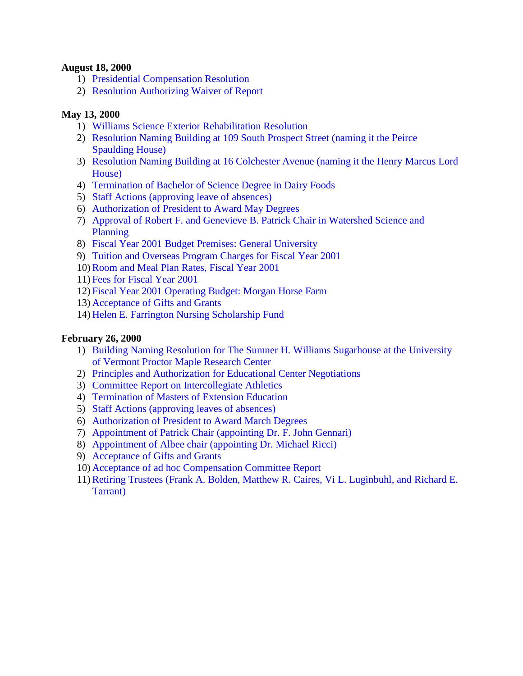#### **August 18, 2000**

- 1) [Presidential Compensation Resolution](#page-15-0)
- 2) [Resolution Authorizing Waiver of Report](#page-15-0)

#### **May 13, 2000**

- 1) [Williams Science Exterior Rehabilitation Resolution](#page-16-0)
- 2) [Resolution Naming Building at 109 South Prospect Street \(naming it the Peirce](#page-16-0)  Spaulding House)
- 3) [Resolution Naming Building at 16 Colchester Avenue \(naming it the Henry Marcus Lord](#page-17-0)  House)
- 4) [Termination of Bachelor of Science Degree in Dairy Foods](#page-17-0)
- 5) [Staff Actions \(approving leave of absences\)](#page-17-0)
- 6) [Authorization of President to Award May Degrees](#page-17-0)
- 7) [Approval of Robert F. and Genevieve B. Patrick Chair in Watershed Science and](#page-18-0) Planning
- 8) [Fiscal Year 2001 Budget Premises: General University](#page-18-0)
- 9) [Tuition and Overseas Program Charges for Fiscal Year 2001](#page-18-0)
- 10)[Room and Meal Plan Rates, Fiscal Year 2001](#page-18-0)
- 11) [Fees for Fiscal Year 2001](#page-19-0)
- 12) [Fiscal Year 2001 Operating Budget: Morgan Horse Farm](#page-19-0)
- 13) [Acceptance of Gifts and Grants](#page-19-0)
- 14) [Helen E. Farrington Nursing Scholarship Fund](#page-19-0)

#### **February 26, 2000**

- 1) [Building Naming Resolution for The Sumner H. Williams Sugarhouse at the University](#page-21-0)  of Vermont Proctor Maple Research Center
- 2) [Principles and Authorization for Educational Center Negotiations](#page-21-0)
- 3) [Committee Report on Intercollegiate Athletics](#page-22-0)
- 4) [Termination of Masters of Extension Education](#page-22-0)
- 5) [Staff Actions \(approving leaves of absences\)](#page-22-0)
- 6) [Authorization of President to Award March Degrees](#page-22-0)
- 7) [Appointment of Patrick Chair \(appointing Dr. F. John Gennari\)](#page-23-0)
- 8) [Appointment of Albee chair \(appointing Dr. Michael Ricci\)](#page-23-0)
- 9) [Acceptance of Gifts and Grants](#page-23-0)
- 10) [Acceptance of ad hoc Compensation Committee Report](#page-23-0)
- 11)[Retiring Trustees \(Frank A. Bolden, Matthew R. Caires, Vi L. Luginbuhl, and Richard E.](#page-23-0) Tarrant)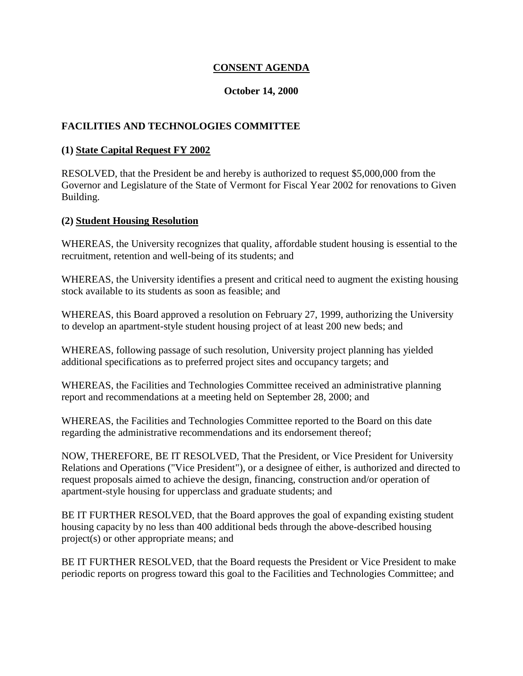## **CONSENT AGENDA**

#### **October 14, 2000**

## <span id="page-2-0"></span>**FACILITIES AND TECHNOLOGIES COMMITTEE**

#### **(1) State Capital Request FY 2002**

RESOLVED, that the President be and hereby is authorized to request \$5,000,000 from the Governor and Legislature of the State of Vermont for Fiscal Year 2002 for renovations to Given Building.

#### **(2) Student Housing Resolution**

WHEREAS, the University recognizes that quality, affordable student housing is essential to the recruitment, retention and well-being of its students; and

WHEREAS, the University identifies a present and critical need to augment the existing housing stock available to its students as soon as feasible; and

WHEREAS, this Board approved a resolution on February 27, 1999, authorizing the University to develop an apartment-style student housing project of at least 200 new beds; and

WHEREAS, following passage of such resolution, University project planning has yielded additional specifications as to preferred project sites and occupancy targets; and

WHEREAS, the Facilities and Technologies Committee received an administrative planning report and recommendations at a meeting held on September 28, 2000; and

WHEREAS, the Facilities and Technologies Committee reported to the Board on this date regarding the administrative recommendations and its endorsement thereof;

NOW, THEREFORE, BE IT RESOLVED, That the President, or Vice President for University Relations and Operations ("Vice President"), or a designee of either, is authorized and directed to request proposals aimed to achieve the design, financing, construction and/or operation of apartment-style housing for upperclass and graduate students; and

BE IT FURTHER RESOLVED, that the Board approves the goal of expanding existing student housing capacity by no less than 400 additional beds through the above-described housing project(s) or other appropriate means; and

BE IT FURTHER RESOLVED, that the Board requests the President or Vice President to make periodic reports on progress toward this goal to the Facilities and Technologies Committee; and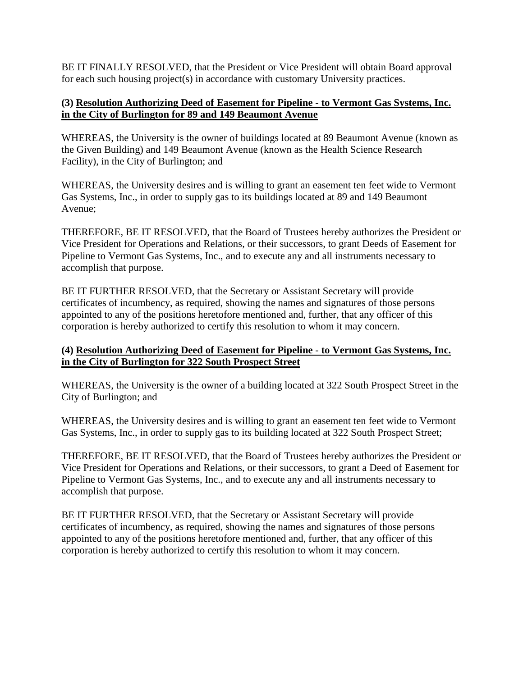<span id="page-3-0"></span>BE IT FINALLY RESOLVED, that the President or Vice President will obtain Board approval for each such housing project(s) in accordance with customary University practices.

## **(3) Resolution Authorizing Deed of Easement for Pipeline** - **to Vermont Gas Systems, Inc. in the City of Burlington for 89 and 149 Beaumont Avenue**

WHEREAS, the University is the owner of buildings located at 89 Beaumont Avenue (known as the Given Building) and 149 Beaumont Avenue (known as the Health Science Research Facility), in the City of Burlington; and

WHEREAS, the University desires and is willing to grant an easement ten feet wide to Vermont Gas Systems, Inc., in order to supply gas to its buildings located at 89 and 149 Beaumont Avenue;

THEREFORE, BE IT RESOLVED, that the Board of Trustees hereby authorizes the President or Vice President for Operations and Relations, or their successors, to grant Deeds of Easement for Pipeline to Vermont Gas Systems, Inc., and to execute any and all instruments necessary to accomplish that purpose.

BE IT FURTHER RESOLVED, that the Secretary or Assistant Secretary will provide certificates of incumbency, as required, showing the names and signatures of those persons appointed to any of the positions heretofore mentioned and, further, that any officer of this corporation is hereby authorized to certify this resolution to whom it may concern.

## **(4) Resolution Authorizing Deed of Easement for Pipeline** - **to Vermont Gas Systems, Inc. in the City of Burlington for 322 South Prospect Street**

WHEREAS, the University is the owner of a building located at 322 South Prospect Street in the City of Burlington; and

WHEREAS, the University desires and is willing to grant an easement ten feet wide to Vermont Gas Systems, Inc., in order to supply gas to its building located at 322 South Prospect Street;

THEREFORE, BE IT RESOLVED, that the Board of Trustees hereby authorizes the President or Vice President for Operations and Relations, or their successors, to grant a Deed of Easement for Pipeline to Vermont Gas Systems, Inc., and to execute any and all instruments necessary to accomplish that purpose.

BE IT FURTHER RESOLVED, that the Secretary or Assistant Secretary will provide certificates of incumbency, as required, showing the names and signatures of those persons appointed to any of the positions heretofore mentioned and, further, that any officer of this corporation is hereby authorized to certify this resolution to whom it may concern.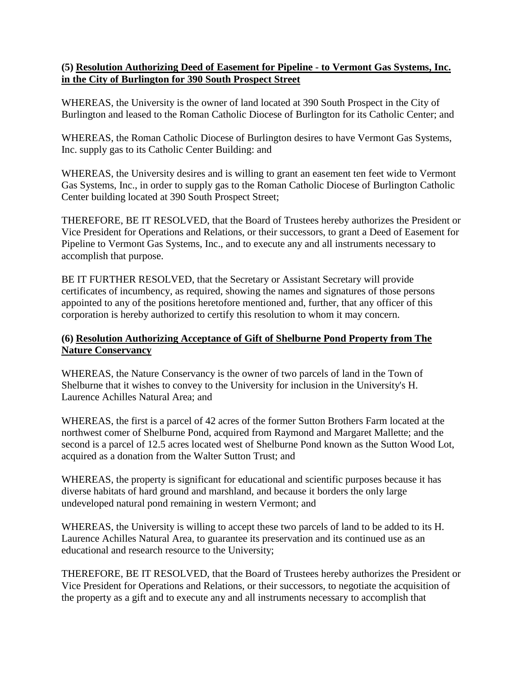## <span id="page-4-0"></span>**(5) Resolution Authorizing Deed of Easement for Pipeline** - **to Vermont Gas Systems, Inc. in the City of Burlington for 390 South Prospect Street**

WHEREAS, the University is the owner of land located at 390 South Prospect in the City of Burlington and leased to the Roman Catholic Diocese of Burlington for its Catholic Center; and

WHEREAS, the Roman Catholic Diocese of Burlington desires to have Vermont Gas Systems, Inc. supply gas to its Catholic Center Building: and

WHEREAS, the University desires and is willing to grant an easement ten feet wide to Vermont Gas Systems, Inc., in order to supply gas to the Roman Catholic Diocese of Burlington Catholic Center building located at 390 South Prospect Street;

THEREFORE, BE IT RESOLVED, that the Board of Trustees hereby authorizes the President or Vice President for Operations and Relations, or their successors, to grant a Deed of Easement for Pipeline to Vermont Gas Systems, Inc., and to execute any and all instruments necessary to accomplish that purpose.

BE IT FURTHER RESOLVED, that the Secretary or Assistant Secretary will provide certificates of incumbency, as required, showing the names and signatures of those persons appointed to any of the positions heretofore mentioned and, further, that any officer of this corporation is hereby authorized to certify this resolution to whom it may concern.

## **(6) Resolution Authorizing Acceptance of Gift of Shelburne Pond Property from The Nature Conservancy**

WHEREAS, the Nature Conservancy is the owner of two parcels of land in the Town of Shelburne that it wishes to convey to the University for inclusion in the University's H. Laurence Achilles Natural Area; and

WHEREAS, the first is a parcel of 42 acres of the former Sutton Brothers Farm located at the northwest comer of Shelburne Pond, acquired from Raymond and Margaret Mallette; and the second is a parcel of 12.5 acres located west of Shelburne Pond known as the Sutton Wood Lot, acquired as a donation from the Walter Sutton Trust; and

WHEREAS, the property is significant for educational and scientific purposes because it has diverse habitats of hard ground and marshland, and because it borders the only large undeveloped natural pond remaining in western Vermont; and

WHEREAS, the University is willing to accept these two parcels of land to be added to its H. Laurence Achilles Natural Area, to guarantee its preservation and its continued use as an educational and research resource to the University;

THEREFORE, BE IT RESOLVED, that the Board of Trustees hereby authorizes the President or Vice President for Operations and Relations, or their successors, to negotiate the acquisition of the property as a gift and to execute any and all instruments necessary to accomplish that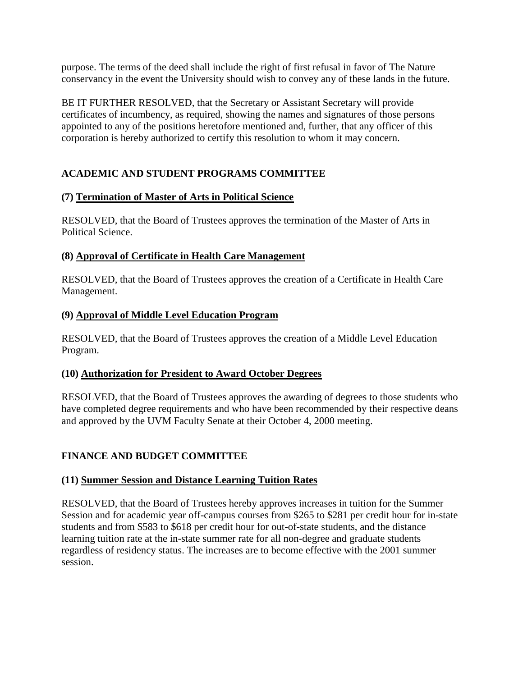<span id="page-5-0"></span>purpose. The terms of the deed shall include the right of first refusal in favor of The Nature conservancy in the event the University should wish to convey any of these lands in the future.

BE IT FURTHER RESOLVED, that the Secretary or Assistant Secretary will provide certificates of incumbency, as required, showing the names and signatures of those persons appointed to any of the positions heretofore mentioned and, further, that any officer of this corporation is hereby authorized to certify this resolution to whom it may concern.

# **ACADEMIC AND STUDENT PROGRAMS COMMITTEE**

# **(7) Termination of Master of Arts in Political Science**

RESOLVED, that the Board of Trustees approves the termination of the Master of Arts in Political Science.

# **(8) Approval of Certificate in Health Care Management**

RESOLVED, that the Board of Trustees approves the creation of a Certificate in Health Care Management.

# **(9) Approval of Middle Level Education Program**

RESOLVED, that the Board of Trustees approves the creation of a Middle Level Education Program.

# **(10) Authorization for President to Award October Degrees**

RESOLVED, that the Board of Trustees approves the awarding of degrees to those students who have completed degree requirements and who have been recommended by their respective deans and approved by the UVM Faculty Senate at their October 4, 2000 meeting.

# **FINANCE AND BUDGET COMMITTEE**

# **(11) Summer Session and Distance Learning Tuition Rates**

RESOLVED, that the Board of Trustees hereby approves increases in tuition for the Summer Session and for academic year off-campus courses from \$265 to \$281 per credit hour for in-state students and from \$583 to \$618 per credit hour for out-of-state students, and the distance learning tuition rate at the in-state summer rate for all non-degree and graduate students regardless of residency status. The increases are to become effective with the 2001 summer session.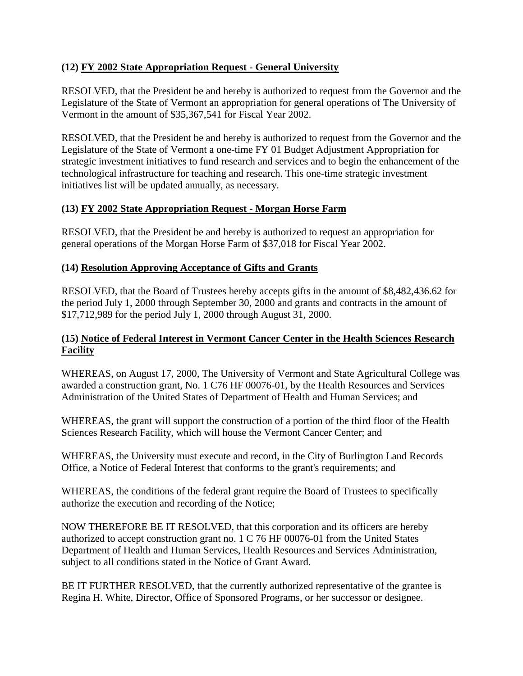## <span id="page-6-0"></span>**(12) FY 2002 State Appropriation Request** - **General University**

RESOLVED, that the President be and hereby is authorized to request from the Governor and the Legislature of the State of Vermont an appropriation for general operations of The University of Vermont in the amount of \$35,367,541 for Fiscal Year 2002.

RESOLVED, that the President be and hereby is authorized to request from the Governor and the Legislature of the State of Vermont a one-time FY 01 Budget Adjustment Appropriation for strategic investment initiatives to fund research and services and to begin the enhancement of the technological infrastructure for teaching and research. This one-time strategic investment initiatives list will be updated annually, as necessary.

## **(13) FY 2002 State Appropriation Request** - **Morgan Horse Farm**

RESOLVED, that the President be and hereby is authorized to request an appropriation for general operations of the Morgan Horse Farm of \$37,018 for Fiscal Year 2002.

## **(14) Resolution Approving Acceptance of Gifts and Grants**

RESOLVED, that the Board of Trustees hereby accepts gifts in the amount of \$8,482,436.62 for the period July 1, 2000 through September 30, 2000 and grants and contracts in the amount of \$17,712,989 for the period July 1, 2000 through August 31, 2000.

## **(15) Notice of Federal Interest in Vermont Cancer Center in the Health Sciences Research Facility**

WHEREAS, on August 17, 2000, The University of Vermont and State Agricultural College was awarded a construction grant, No. 1 C76 HF 00076-01, by the Health Resources and Services Administration of the United States of Department of Health and Human Services; and

WHEREAS, the grant will support the construction of a portion of the third floor of the Health Sciences Research Facility, which will house the Vermont Cancer Center; and

WHEREAS, the University must execute and record, in the City of Burlington Land Records Office, a Notice of Federal Interest that conforms to the grant's requirements; and

WHEREAS, the conditions of the federal grant require the Board of Trustees to specifically authorize the execution and recording of the Notice;

NOW THEREFORE BE IT RESOLVED, that this corporation and its officers are hereby authorized to accept construction grant no. 1 C 76 HF 00076-01 from the United States Department of Health and Human Services, Health Resources and Services Administration, subject to all conditions stated in the Notice of Grant Award.

BE IT FURTHER RESOLVED, that the currently authorized representative of the grantee is Regina H. White, Director, Office of Sponsored Programs, or her successor or designee.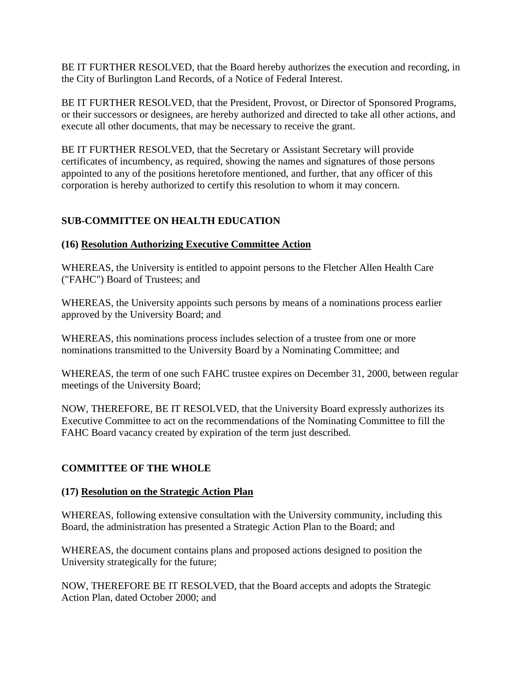<span id="page-7-0"></span>BE IT FURTHER RESOLVED, that the Board hereby authorizes the execution and recording, in the City of Burlington Land Records, of a Notice of Federal Interest.

BE IT FURTHER RESOLVED, that the President, Provost, or Director of Sponsored Programs, or their successors or designees, are hereby authorized and directed to take all other actions, and execute all other documents, that may be necessary to receive the grant.

BE IT FURTHER RESOLVED, that the Secretary or Assistant Secretary will provide certificates of incumbency, as required, showing the names and signatures of those persons appointed to any of the positions heretofore mentioned, and further, that any officer of this corporation is hereby authorized to certify this resolution to whom it may concern.

# **SUB-COMMITTEE ON HEALTH EDUCATION**

## **(16) Resolution Authorizing Executive Committee Action**

WHEREAS, the University is entitled to appoint persons to the Fletcher Allen Health Care ("FAHC") Board of Trustees; and

WHEREAS, the University appoints such persons by means of a nominations process earlier approved by the University Board; and

WHEREAS, this nominations process includes selection of a trustee from one or more nominations transmitted to the University Board by a Nominating Committee; and

WHEREAS, the term of one such FAHC trustee expires on December 31, 2000, between regular meetings of the University Board;

NOW, THEREFORE, BE IT RESOLVED, that the University Board expressly authorizes its Executive Committee to act on the recommendations of the Nominating Committee to fill the FAHC Board vacancy created by expiration of the term just described.

## **COMMITTEE OF THE WHOLE**

#### **(17) Resolution on the Strategic Action Plan**

WHEREAS, following extensive consultation with the University community, including this Board, the administration has presented a Strategic Action Plan to the Board; and

WHEREAS, the document contains plans and proposed actions designed to position the University strategically for the future;

NOW, THEREFORE BE IT RESOLVED, that the Board accepts and adopts the Strategic Action Plan, dated October 2000; and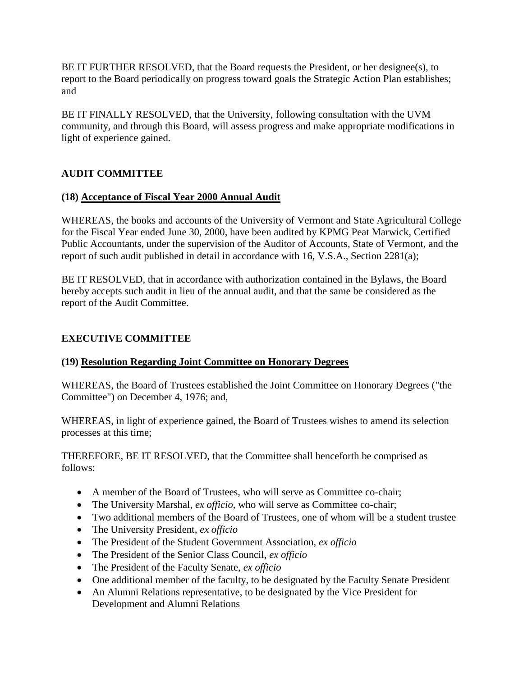<span id="page-8-0"></span>BE IT FURTHER RESOLVED, that the Board requests the President, or her designee(s), to report to the Board periodically on progress toward goals the Strategic Action Plan establishes; and

BE IT FINALLY RESOLVED, that the University, following consultation with the UVM community, and through this Board, will assess progress and make appropriate modifications in light of experience gained.

## **AUDIT COMMITTEE**

## **(18) Acceptance of Fiscal Year 2000 Annual Audit**

WHEREAS, the books and accounts of the University of Vermont and State Agricultural College for the Fiscal Year ended June 30, 2000, have been audited by KPMG Peat Marwick, Certified Public Accountants, under the supervision of the Auditor of Accounts, State of Vermont, and the report of such audit published in detail in accordance with 16, V.S.A., Section 2281(a);

BE IT RESOLVED, that in accordance with authorization contained in the Bylaws, the Board hereby accepts such audit in lieu of the annual audit, and that the same be considered as the report of the Audit Committee.

## **EXECUTIVE COMMITTEE**

#### **(19) Resolution Regarding Joint Committee on Honorary Degrees**

WHEREAS, the Board of Trustees established the Joint Committee on Honorary Degrees ("the Committee") on December 4, 1976; and,

WHEREAS, in light of experience gained, the Board of Trustees wishes to amend its selection processes at this time;

THEREFORE, BE IT RESOLVED, that the Committee shall henceforth be comprised as follows:

- A member of the Board of Trustees, who will serve as Committee co-chair;
- The University Marshal, *ex officio*, who will serve as Committee co-chair;
- Two additional members of the Board of Trustees, one of whom will be a student trustee
- The University President, *ex officio*
- The President of the Student Government Association, *ex officio*
- The President of the Senior Class Council, *ex officio*
- The President of the Faculty Senate, *ex officio*
- One additional member of the faculty, to be designated by the Faculty Senate President
- An Alumni Relations representative, to be designated by the Vice President for Development and Alumni Relations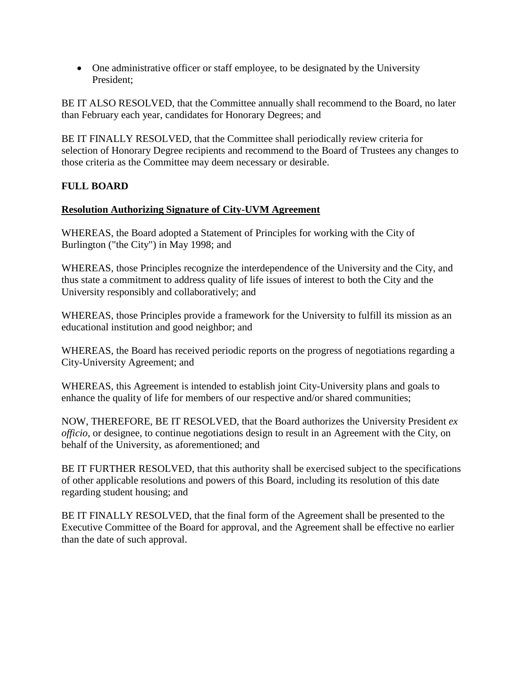<span id="page-9-0"></span>• One administrative officer or staff employee, to be designated by the University President;

BE IT ALSO RESOLVED, that the Committee annually shall recommend to the Board, no later than February each year, candidates for Honorary Degrees; and

BE IT FINALLY RESOLVED, that the Committee shall periodically review criteria for selection of Honorary Degree recipients and recommend to the Board of Trustees any changes to those criteria as the Committee may deem necessary or desirable.

## **FULL BOARD**

## **Resolution Authorizing Signature of City-UVM Agreement**

WHEREAS, the Board adopted a Statement of Principles for working with the City of Burlington ("the City") in May 1998; and

WHEREAS, those Principles recognize the interdependence of the University and the City, and thus state a commitment to address quality of life issues of interest to both the City and the University responsibly and collaboratively; and

WHEREAS, those Principles provide a framework for the University to fulfill its mission as an educational institution and good neighbor; and

WHEREAS, the Board has received periodic reports on the progress of negotiations regarding a City-University Agreement; and

WHEREAS, this Agreement is intended to establish joint City-University plans and goals to enhance the quality of life for members of our respective and/or shared communities;

NOW, THEREFORE, BE IT RESOLVED, that the Board authorizes the University President *ex officio,* or designee, to continue negotiations design to result in an Agreement with the City, on behalf of the University, as aforementioned; and

BE IT FURTHER RESOLVED, that this authority shall be exercised subject to the specifications of other applicable resolutions and powers of this Board, including its resolution of this date regarding student housing; and

BE IT FINALLY RESOLVED, that the final form of the Agreement shall be presented to the Executive Committee of the Board for approval, and the Agreement shall be effective no earlier than the date of such approval.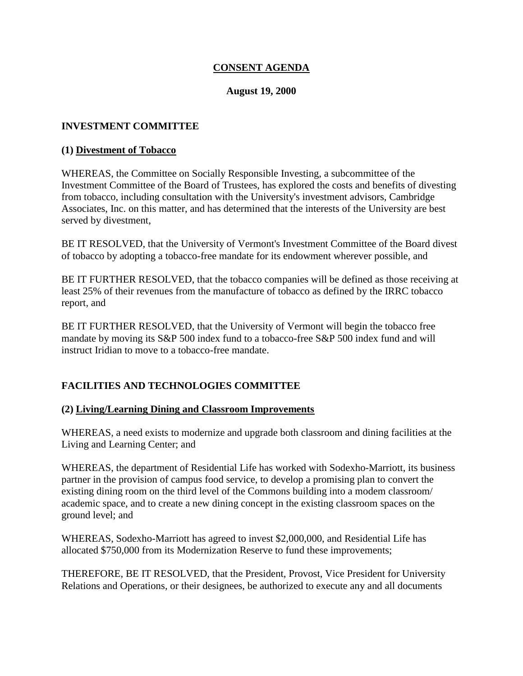## **CONSENT AGENDA**

#### **August 19, 2000**

#### <span id="page-10-0"></span>**INVESTMENT COMMITTEE**

#### **(1) Divestment of Tobacco**

WHEREAS, the Committee on Socially Responsible Investing, a subcommittee of the Investment Committee of the Board of Trustees, has explored the costs and benefits of divesting from tobacco, including consultation with the University's investment advisors, Cambridge Associates, Inc. on this matter, and has determined that the interests of the University are best served by divestment,

BE IT RESOLVED, that the University of Vermont's Investment Committee of the Board divest of tobacco by adopting a tobacco-free mandate for its endowment wherever possible, and

BE IT FURTHER RESOLVED, that the tobacco companies will be defined as those receiving at least 25% of their revenues from the manufacture of tobacco as defined by the IRRC tobacco report, and

BE IT FURTHER RESOLVED, that the University of Vermont will begin the tobacco free mandate by moving its S&P 500 index fund to a tobacco-free S&P 500 index fund and will instruct Iridian to move to a tobacco-free mandate.

## **FACILITIES AND TECHNOLOGIES COMMITTEE**

#### **(2) Living/Learning Dining and Classroom Improvements**

WHEREAS, a need exists to modernize and upgrade both classroom and dining facilities at the Living and Learning Center; and

WHEREAS, the department of Residential Life has worked with Sodexho-Marriott, its business partner in the provision of campus food service, to develop a promising plan to convert the existing dining room on the third level of the Commons building into a modem classroom/ academic space, and to create a new dining concept in the existing classroom spaces on the ground level; and

WHEREAS, Sodexho-Marriott has agreed to invest \$2,000,000, and Residential Life has allocated \$750,000 from its Modernization Reserve to fund these improvements;

THEREFORE, BE IT RESOLVED, that the President, Provost, Vice President for University Relations and Operations, or their designees, be authorized to execute any and all documents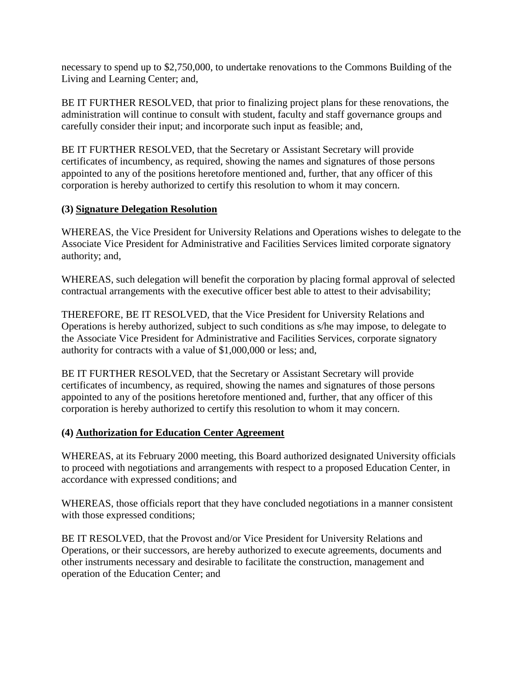<span id="page-11-0"></span>necessary to spend up to \$2,750,000, to undertake renovations to the Commons Building of the Living and Learning Center; and,

BE IT FURTHER RESOLVED, that prior to finalizing project plans for these renovations, the administration will continue to consult with student, faculty and staff governance groups and carefully consider their input; and incorporate such input as feasible; and,

BE IT FURTHER RESOLVED, that the Secretary or Assistant Secretary will provide certificates of incumbency, as required, showing the names and signatures of those persons appointed to any of the positions heretofore mentioned and, further, that any officer of this corporation is hereby authorized to certify this resolution to whom it may concern.

## **(3) Signature Delegation Resolution**

WHEREAS, the Vice President for University Relations and Operations wishes to delegate to the Associate Vice President for Administrative and Facilities Services limited corporate signatory authority; and,

WHEREAS, such delegation will benefit the corporation by placing formal approval of selected contractual arrangements with the executive officer best able to attest to their advisability;

THEREFORE, BE IT RESOLVED, that the Vice President for University Relations and Operations is hereby authorized, subject to such conditions as s/he may impose, to delegate to the Associate Vice President for Administrative and Facilities Services, corporate signatory authority for contracts with a value of \$1,000,000 or less; and,

BE IT FURTHER RESOLVED, that the Secretary or Assistant Secretary will provide certificates of incumbency, as required, showing the names and signatures of those persons appointed to any of the positions heretofore mentioned and, further, that any officer of this corporation is hereby authorized to certify this resolution to whom it may concern.

## **(4) Authorization for Education Center Agreement**

WHEREAS, at its February 2000 meeting, this Board authorized designated University officials to proceed with negotiations and arrangements with respect to a proposed Education Center, in accordance with expressed conditions; and

WHEREAS, those officials report that they have concluded negotiations in a manner consistent with those expressed conditions;

BE IT RESOLVED, that the Provost and/or Vice President for University Relations and Operations, or their successors, are hereby authorized to execute agreements, documents and other instruments necessary and desirable to facilitate the construction, management and operation of the Education Center; and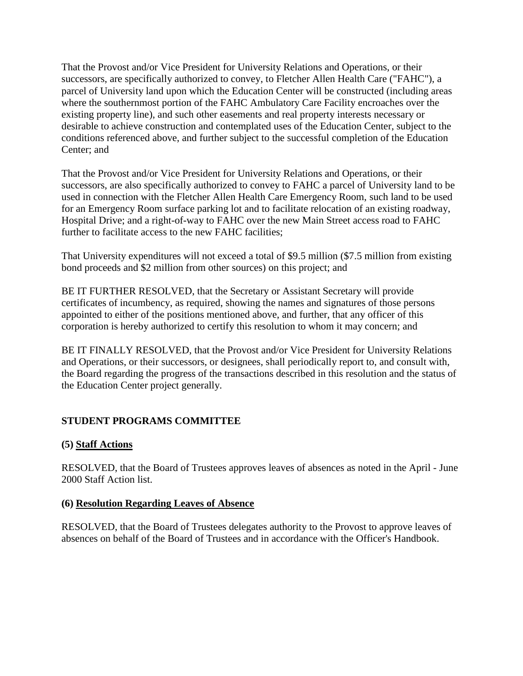<span id="page-12-0"></span>That the Provost and/or Vice President for University Relations and Operations, or their successors, are specifically authorized to convey, to Fletcher Allen Health Care ("FAHC"), a parcel of University land upon which the Education Center will be constructed (including areas where the southernmost portion of the FAHC Ambulatory Care Facility encroaches over the existing property line), and such other easements and real property interests necessary or desirable to achieve construction and contemplated uses of the Education Center, subject to the conditions referenced above, and further subject to the successful completion of the Education Center; and

That the Provost and/or Vice President for University Relations and Operations, or their successors, are also specifically authorized to convey to FAHC a parcel of University land to be used in connection with the Fletcher Allen Health Care Emergency Room, such land to be used for an Emergency Room surface parking lot and to facilitate relocation of an existing roadway, Hospital Drive; and a right-of-way to FAHC over the new Main Street access road to FAHC further to facilitate access to the new FAHC facilities;

That University expenditures will not exceed a total of \$9.5 million (\$7.5 million from existing bond proceeds and \$2 million from other sources) on this project; and

BE IT FURTHER RESOLVED, that the Secretary or Assistant Secretary will provide certificates of incumbency, as required, showing the names and signatures of those persons appointed to either of the positions mentioned above, and further, that any officer of this corporation is hereby authorized to certify this resolution to whom it may concern; and

BE IT FINALLY RESOLVED, that the Provost and/or Vice President for University Relations and Operations, or their successors, or designees, shall periodically report to, and consult with, the Board regarding the progress of the transactions described in this resolution and the status of the Education Center project generally.

# **STUDENT PROGRAMS COMMITTEE**

## **(5) Staff Actions**

RESOLVED, that the Board of Trustees approves leaves of absences as noted in the April - June 2000 Staff Action list.

#### **(6) Resolution Regarding Leaves of Absence**

RESOLVED, that the Board of Trustees delegates authority to the Provost to approve leaves of absences on behalf of the Board of Trustees and in accordance with the Officer's Handbook.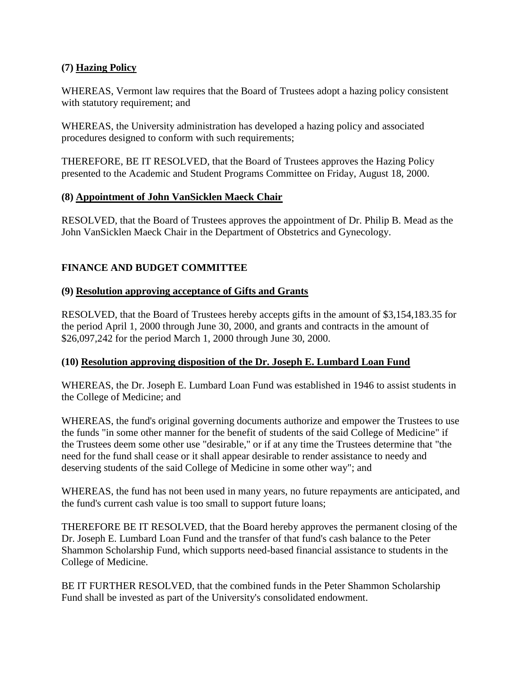## <span id="page-13-0"></span>**(7) Hazing Policy**

WHEREAS, Vermont law requires that the Board of Trustees adopt a hazing policy consistent with statutory requirement; and

WHEREAS, the University administration has developed a hazing policy and associated procedures designed to conform with such requirements;

THEREFORE, BE IT RESOLVED, that the Board of Trustees approves the Hazing Policy presented to the Academic and Student Programs Committee on Friday, August 18, 2000.

## **(8) Appointment of John VanSicklen Maeck Chair**

RESOLVED, that the Board of Trustees approves the appointment of Dr. Philip B. Mead as the John VanSicklen Maeck Chair in the Department of Obstetrics and Gynecology.

# **FINANCE AND BUDGET COMMITTEE**

## **(9) Resolution approving acceptance of Gifts and Grants**

RESOLVED, that the Board of Trustees hereby accepts gifts in the amount of \$3,154,183.35 for the period April 1, 2000 through June 30, 2000, and grants and contracts in the amount of \$26,097,242 for the period March 1, 2000 through June 30, 2000.

## **(10) Resolution approving disposition of the Dr. Joseph E. Lumbard Loan Fund**

WHEREAS, the Dr. Joseph E. Lumbard Loan Fund was established in 1946 to assist students in the College of Medicine; and

WHEREAS, the fund's original governing documents authorize and empower the Trustees to use the funds "in some other manner for the benefit of students of the said College of Medicine" if the Trustees deem some other use "desirable," or if at any time the Trustees determine that "the need for the fund shall cease or it shall appear desirable to render assistance to needy and deserving students of the said College of Medicine in some other way"; and

WHEREAS, the fund has not been used in many years, no future repayments are anticipated, and the fund's current cash value is too small to support future loans;

THEREFORE BE IT RESOLVED, that the Board hereby approves the permanent closing of the Dr. Joseph E. Lumbard Loan Fund and the transfer of that fund's cash balance to the Peter Shammon Scholarship Fund, which supports need-based financial assistance to students in the College of Medicine.

BE IT FURTHER RESOLVED, that the combined funds in the Peter Shammon Scholarship Fund shall be invested as part of the University's consolidated endowment.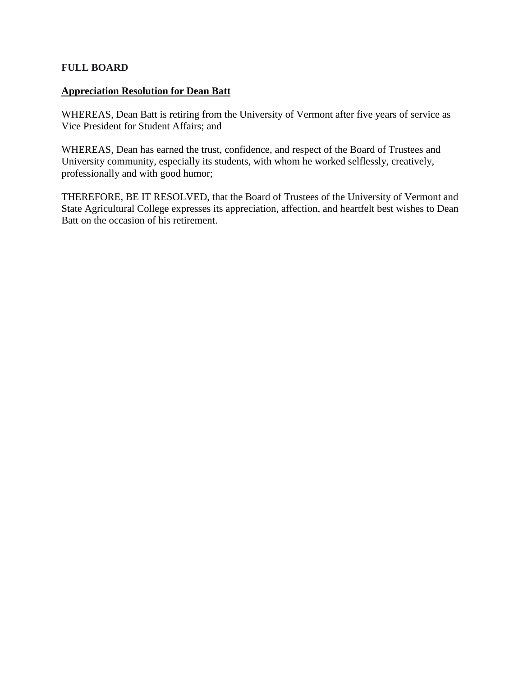#### **FULL BOARD**

#### **Appreciation Resolution for Dean Batt**

WHEREAS, Dean Batt is retiring from the University of Vermont after five years of service as Vice President for Student Affairs; and

WHEREAS, Dean has earned the trust, confidence, and respect of the Board of Trustees and University community, especially its students, with whom he worked selflessly, creatively, professionally and with good humor;

THEREFORE, BE IT RESOLVED, that the Board of Trustees of the University of Vermont and State Agricultural College expresses its appreciation, affection, and heartfelt best wishes to Dean Batt on the occasion of his retirement.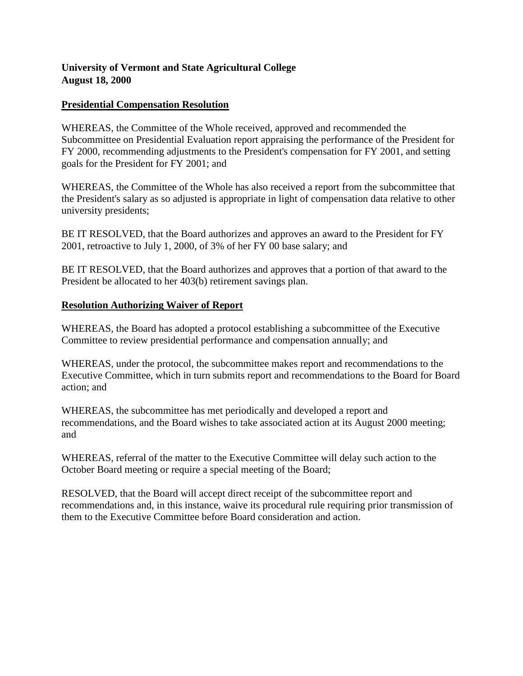## <span id="page-15-0"></span>**University of Vermont and State Agricultural College August 18, 2000**

#### **Presidential Compensation Resolution**

WHEREAS, the Committee of the Whole received, approved and recommended the Subcommittee on Presidential Evaluation report appraising the performance of the President for FY 2000, recommending adjustments to the President's compensation for FY 2001, and setting goals for the President for FY 2001; and

WHEREAS, the Committee of the Whole has also received a report from the subcommittee that the President's salary as so adjusted is appropriate in light of compensation data relative to other university presidents;

BE IT RESOLVED, that the Board authorizes and approves an award to the President for FY 2001, retroactive to July 1, 2000, of 3% of her FY 00 base salary; and

BE IT RESOLVED, that the Board authorizes and approves that a portion of that award to the President be allocated to her 403(b) retirement savings plan.

#### **Resolution Authorizing Waiver of Report**

WHEREAS, the Board has adopted a protocol establishing a subcommittee of the Executive Committee to review presidential performance and compensation annually; and

WHEREAS, under the protocol, the subcommittee makes report and recommendations to the Executive Committee, which in turn submits report and recommendations to the Board for Board action; and

WHEREAS, the subcommittee has met periodically and developed a report and recommendations, and the Board wishes to take associated action at its August 2000 meeting; and

WHEREAS, referral of the matter to the Executive Committee will delay such action to the October Board meeting or require a special meeting of the Board;

RESOLVED, that the Board will accept direct receipt of the subcommittee report and recommendations and, in this instance, waive its procedural rule requiring prior transmission of them to the Executive Committee before Board consideration and action.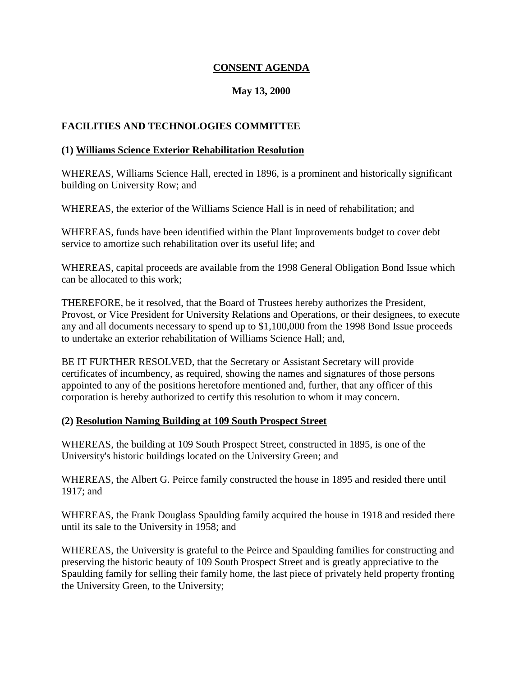## **CONSENT AGENDA**

## **May 13, 2000**

## <span id="page-16-0"></span>**FACILITIES AND TECHNOLOGIES COMMITTEE**

#### **(1) Williams Science Exterior Rehabilitation Resolution**

WHEREAS, Williams Science Hall, erected in 1896, is a prominent and historically significant building on University Row; and

WHEREAS, the exterior of the Williams Science Hall is in need of rehabilitation; and

WHEREAS, funds have been identified within the Plant Improvements budget to cover debt service to amortize such rehabilitation over its useful life; and

WHEREAS, capital proceeds are available from the 1998 General Obligation Bond Issue which can be allocated to this work;

THEREFORE, be it resolved, that the Board of Trustees hereby authorizes the President, Provost, or Vice President for University Relations and Operations, or their designees, to execute any and all documents necessary to spend up to \$1,100,000 from the 1998 Bond Issue proceeds to undertake an exterior rehabilitation of Williams Science Hall; and,

BE IT FURTHER RESOLVED, that the Secretary or Assistant Secretary will provide certificates of incumbency, as required, showing the names and signatures of those persons appointed to any of the positions heretofore mentioned and, further, that any officer of this corporation is hereby authorized to certify this resolution to whom it may concern.

#### **(2) Resolution Naming Building at 109 South Prospect Street**

WHEREAS, the building at 109 South Prospect Street, constructed in 1895, is one of the University's historic buildings located on the University Green; and

WHEREAS, the Albert G. Peirce family constructed the house in 1895 and resided there until 1917; and

WHEREAS, the Frank Douglass Spaulding family acquired the house in 1918 and resided there until its sale to the University in 1958; and

WHEREAS, the University is grateful to the Peirce and Spaulding families for constructing and preserving the historic beauty of 109 South Prospect Street and is greatly appreciative to the Spaulding family for selling their family home, the last piece of privately held property fronting the University Green, to the University;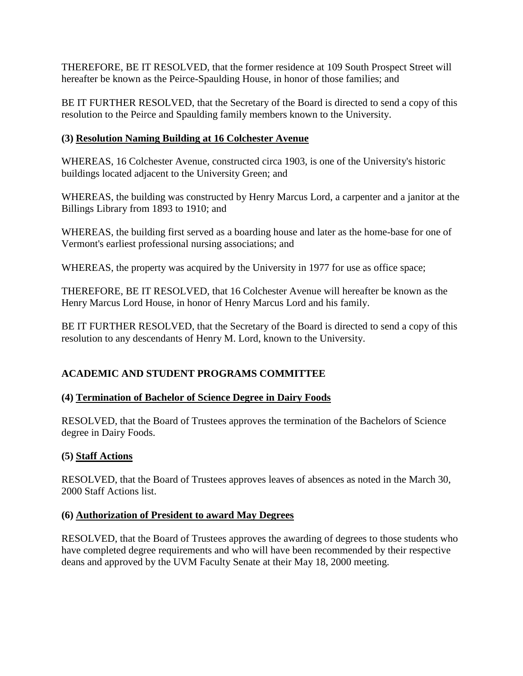<span id="page-17-0"></span>THEREFORE, BE IT RESOLVED, that the former residence at 109 South Prospect Street will hereafter be known as the Peirce-Spaulding House, in honor of those families; and

BE IT FURTHER RESOLVED, that the Secretary of the Board is directed to send a copy of this resolution to the Peirce and Spaulding family members known to the University.

# **(3) Resolution Naming Building at 16 Colchester Avenue**

WHEREAS, 16 Colchester Avenue, constructed circa 1903, is one of the University's historic buildings located adjacent to the University Green; and

WHEREAS, the building was constructed by Henry Marcus Lord, a carpenter and a janitor at the Billings Library from 1893 to 1910; and

WHEREAS, the building first served as a boarding house and later as the home-base for one of Vermont's earliest professional nursing associations; and

WHEREAS, the property was acquired by the University in 1977 for use as office space;

THEREFORE, BE IT RESOLVED, that 16 Colchester Avenue will hereafter be known as the Henry Marcus Lord House, in honor of Henry Marcus Lord and his family.

BE IT FURTHER RESOLVED, that the Secretary of the Board is directed to send a copy of this resolution to any descendants of Henry M. Lord, known to the University.

# **ACADEMIC AND STUDENT PROGRAMS COMMITTEE**

# **(4) Termination of Bachelor of Science Degree in Dairy Foods**

RESOLVED, that the Board of Trustees approves the termination of the Bachelors of Science degree in Dairy Foods.

# **(5) Staff Actions**

RESOLVED, that the Board of Trustees approves leaves of absences as noted in the March 30, 2000 Staff Actions list.

# **(6) Authorization of President to award May Degrees**

RESOLVED, that the Board of Trustees approves the awarding of degrees to those students who have completed degree requirements and who will have been recommended by their respective deans and approved by the UVM Faculty Senate at their May 18, 2000 meeting.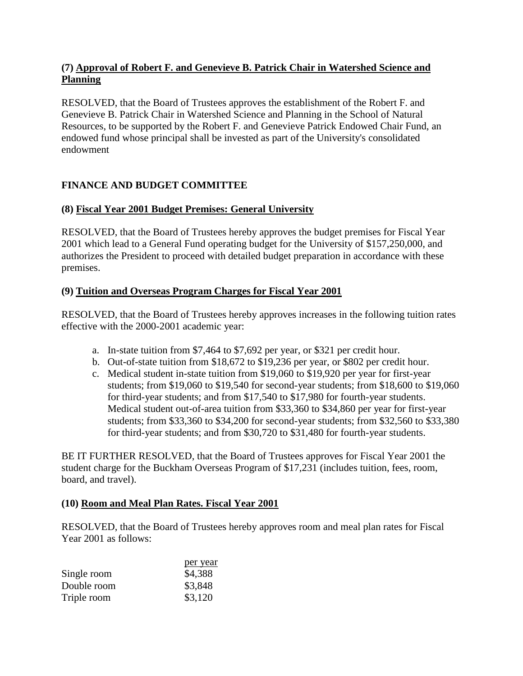## <span id="page-18-0"></span>**(7) Approval of Robert F. and Genevieve B. Patrick Chair in Watershed Science and Planning**

RESOLVED, that the Board of Trustees approves the establishment of the Robert F. and Genevieve B. Patrick Chair in Watershed Science and Planning in the School of Natural Resources, to be supported by the Robert F. and Genevieve Patrick Endowed Chair Fund, an endowed fund whose principal shall be invested as part of the University's consolidated endowment

# **FINANCE AND BUDGET COMMITTEE**

# **(8) Fiscal Year 2001 Budget Premises: General University**

RESOLVED, that the Board of Trustees hereby approves the budget premises for Fiscal Year 2001 which lead to a General Fund operating budget for the University of \$157,250,000, and authorizes the President to proceed with detailed budget preparation in accordance with these premises.

# **(9) Tuition and Overseas Program Charges for Fiscal Year 2001**

RESOLVED, that the Board of Trustees hereby approves increases in the following tuition rates effective with the 2000-2001 academic year:

- a. In-state tuition from \$7,464 to \$7,692 per year, or \$321 per credit hour.
- b. Out-of-state tuition from \$18,672 to \$19,236 per year, or \$802 per credit hour.
- c. Medical student in-state tuition from \$19,060 to \$19,920 per year for first-year students; from \$19,060 to \$19,540 for second-year students; from \$18,600 to \$19,060 for third-year students; and from \$17,540 to \$17,980 for fourth-year students. Medical student out-of-area tuition from \$33,360 to \$34,860 per year for first-year students; from \$33,360 to \$34,200 for second-year students; from \$32,560 to \$33,380 for third-year students; and from \$30,720 to \$31,480 for fourth-year students.

BE IT FURTHER RESOLVED, that the Board of Trustees approves for Fiscal Year 2001 the student charge for the Buckham Overseas Program of \$17,231 (includes tuition, fees, room, board, and travel).

# **(10) Room and Meal Plan Rates. Fiscal Year 2001**

RESOLVED, that the Board of Trustees hereby approves room and meal plan rates for Fiscal Year 2001 as follows:

|             | per year |
|-------------|----------|
| Single room | \$4,388  |
| Double room | \$3,848  |
| Triple room | \$3,120  |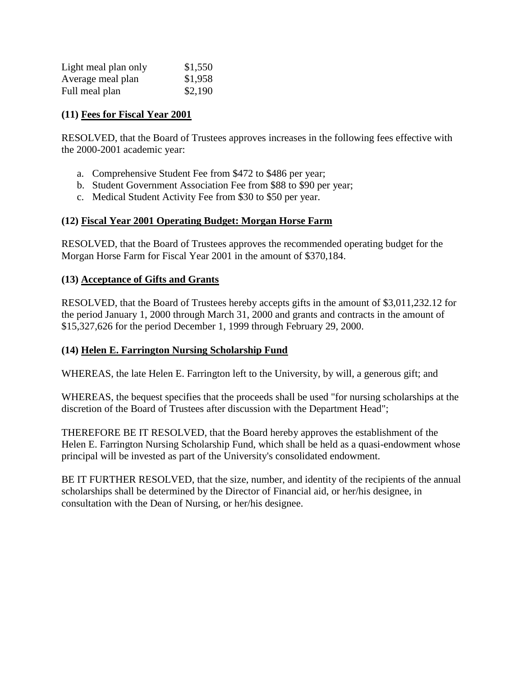<span id="page-19-0"></span>

| Light meal plan only | \$1,550 |
|----------------------|---------|
| Average meal plan    | \$1,958 |
| Full meal plan       | \$2,190 |

#### **(11) Fees for Fiscal Year 2001**

RESOLVED, that the Board of Trustees approves increases in the following fees effective with the 2000-2001 academic year:

- a. Comprehensive Student Fee from \$472 to \$486 per year;
- b. Student Government Association Fee from \$88 to \$90 per year;
- c. Medical Student Activity Fee from \$30 to \$50 per year.

## **(12) Fiscal Year 2001 Operating Budget: Morgan Horse Farm**

RESOLVED, that the Board of Trustees approves the recommended operating budget for the Morgan Horse Farm for Fiscal Year 2001 in the amount of \$370,184.

#### **(13) Acceptance of Gifts and Grants**

RESOLVED, that the Board of Trustees hereby accepts gifts in the amount of \$3,011,232.12 for the period January 1, 2000 through March 31, 2000 and grants and contracts in the amount of \$15,327,626 for the period December 1, 1999 through February 29, 2000.

## **(14) Helen E. Farrington Nursing Scholarship Fund**

WHEREAS, the late Helen E. Farrington left to the University, by will, a generous gift; and

WHEREAS, the bequest specifies that the proceeds shall be used "for nursing scholarships at the discretion of the Board of Trustees after discussion with the Department Head";

THEREFORE BE IT RESOLVED, that the Board hereby approves the establishment of the Helen E. Farrington Nursing Scholarship Fund, which shall be held as a quasi-endowment whose principal will be invested as part of the University's consolidated endowment.

BE IT FURTHER RESOLVED, that the size, number, and identity of the recipients of the annual scholarships shall be determined by the Director of Financial aid, or her/his designee, in consultation with the Dean of Nursing, or her/his designee.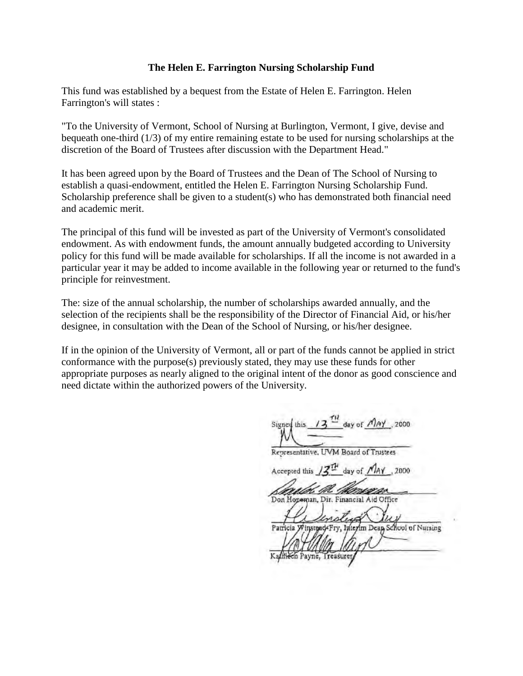#### **The Helen E. Farrington Nursing Scholarship Fund**

This fund was established by a bequest from the Estate of Helen E. Farrington. Helen Farrington's will states :

"To the University of Vermont, School of Nursing at Burlington, Vermont, I give, devise and bequeath one-third (1/3) of my entire remaining estate to be used for nursing scholarships at the discretion of the Board of Trustees after discussion with the Department Head."

It has been agreed upon by the Board of Trustees and the Dean of The School of Nursing to establish a quasi-endowment, entitled the Helen E. Farrington Nursing Scholarship Fund. Scholarship preference shall be given to a student(s) who has demonstrated both financial need and academic merit.

The principal of this fund will be invested as part of the University of Vermont's consolidated endowment. As with endowment funds, the amount annually budgeted according to University policy for this fund will be made available for scholarships. If all the income is not awarded in a particular year it may be added to income available in the following year or returned to the fund's principle for reinvestment.

The: size of the annual scholarship, the number of scholarships awarded annually, and the selection of the recipients shall be the responsibility of the Director of Financial Aid, or his/her designee, in consultation with the Dean of the School of Nursing, or his/her designee.

If in the opinion of the University of Vermont, all or part of the funds cannot be applied in strict conformance with the purpose(s) previously stated, they may use these funds for other appropriate purposes as nearly aligned to the original intent of the donor as good conscience and need dictate within the authorized powers of the University.

Signed this  $13^{11}$  day of  $\sqrt{)}$  2000 Representative, UVM Board of Trustees Accepted this / day of  $\n *MAY*$ , 2000 Don Honoman, Dir. Financial Aid Office Winstead Fry, Interim Dean School of Nursing Patricia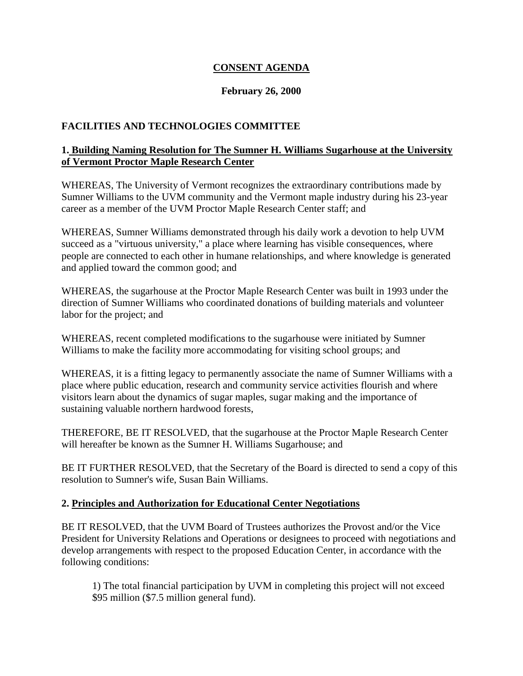## **CONSENT AGENDA**

## **February 26, 2000**

## <span id="page-21-0"></span>**FACILITIES AND TECHNOLOGIES COMMITTEE**

## **1. Building Naming Resolution for The Sumner H. Williams Sugarhouse at the University of Vermont Proctor Maple Research Center**

WHEREAS, The University of Vermont recognizes the extraordinary contributions made by Sumner Williams to the UVM community and the Vermont maple industry during his 23-year career as a member of the UVM Proctor Maple Research Center staff; and

WHEREAS, Sumner Williams demonstrated through his daily work a devotion to help UVM succeed as a "virtuous university," a place where learning has visible consequences, where people are connected to each other in humane relationships, and where knowledge is generated and applied toward the common good; and

WHEREAS, the sugarhouse at the Proctor Maple Research Center was built in 1993 under the direction of Sumner Williams who coordinated donations of building materials and volunteer labor for the project; and

WHEREAS, recent completed modifications to the sugarhouse were initiated by Sumner Williams to make the facility more accommodating for visiting school groups; and

WHEREAS, it is a fitting legacy to permanently associate the name of Sumner Williams with a place where public education, research and community service activities flourish and where visitors learn about the dynamics of sugar maples, sugar making and the importance of sustaining valuable northern hardwood forests,

THEREFORE, BE IT RESOLVED, that the sugarhouse at the Proctor Maple Research Center will hereafter be known as the Sumner H. Williams Sugarhouse; and

BE IT FURTHER RESOLVED, that the Secretary of the Board is directed to send a copy of this resolution to Sumner's wife, Susan Bain Williams.

#### **2. Principles and Authorization for Educational Center Negotiations**

BE IT RESOLVED, that the UVM Board of Trustees authorizes the Provost and/or the Vice President for University Relations and Operations or designees to proceed with negotiations and develop arrangements with respect to the proposed Education Center, in accordance with the following conditions:

1) The total financial participation by UVM in completing this project will not exceed \$95 million (\$7.5 million general fund).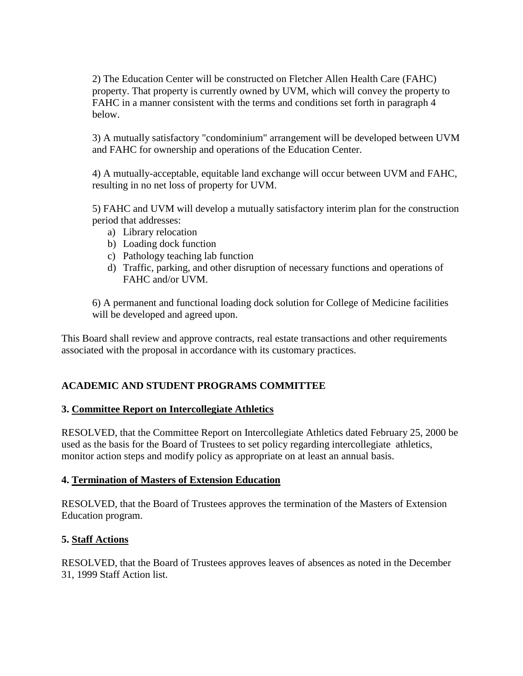<span id="page-22-0"></span>2) The Education Center will be constructed on Fletcher Allen Health Care (FAHC) property. That property is currently owned by UVM, which will convey the property to FAHC in a manner consistent with the terms and conditions set forth in paragraph 4 below.

3) A mutually satisfactory "condominium" arrangement will be developed between UVM and FAHC for ownership and operations of the Education Center.

4) A mutually-acceptable, equitable land exchange will occur between UVM and FAHC, resulting in no net loss of property for UVM.

5) FAHC and UVM will develop a mutually satisfactory interim plan for the construction period that addresses:

- a) Library relocation
- b) Loading dock function
- c) Pathology teaching lab function
- d) Traffic, parking, and other disruption of necessary functions and operations of FAHC and/or UVM.

6) A permanent and functional loading dock solution for College of Medicine facilities will be developed and agreed upon.

This Board shall review and approve contracts, real estate transactions and other requirements associated with the proposal in accordance with its customary practices.

## **ACADEMIC AND STUDENT PROGRAMS COMMITTEE**

## **3. Committee Report on Intercollegiate Athletics**

RESOLVED, that the Committee Report on Intercollegiate Athletics dated February 25, 2000 be used as the basis for the Board of Trustees to set policy regarding intercollegiate athletics, monitor action steps and modify policy as appropriate on at least an annual basis.

#### **4. Termination of Masters of Extension Education**

RESOLVED, that the Board of Trustees approves the termination of the Masters of Extension Education program.

## **5. Staff Actions**

RESOLVED, that the Board of Trustees approves leaves of absences as noted in the December 31, 1999 Staff Action list.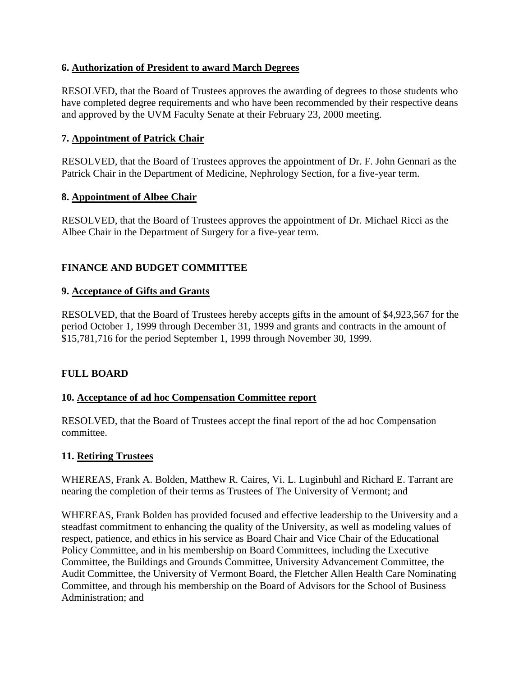## <span id="page-23-0"></span>**6. Authorization of President to award March Degrees**

RESOLVED, that the Board of Trustees approves the awarding of degrees to those students who have completed degree requirements and who have been recommended by their respective deans and approved by the UVM Faculty Senate at their February 23, 2000 meeting.

## **7. Appointment of Patrick Chair**

RESOLVED, that the Board of Trustees approves the appointment of Dr. F. John Gennari as the Patrick Chair in the Department of Medicine, Nephrology Section, for a five-year term.

## **8. Appointment of Albee Chair**

RESOLVED, that the Board of Trustees approves the appointment of Dr. Michael Ricci as the Albee Chair in the Department of Surgery for a five-year term.

# **FINANCE AND BUDGET COMMITTEE**

## **9. Acceptance of Gifts and Grants**

RESOLVED, that the Board of Trustees hereby accepts gifts in the amount of \$4,923,567 for the period October 1, 1999 through December 31, 1999 and grants and contracts in the amount of \$15,781,716 for the period September 1, 1999 through November 30, 1999.

# **FULL BOARD**

## **10. Acceptance of ad hoc Compensation Committee report**

RESOLVED, that the Board of Trustees accept the final report of the ad hoc Compensation committee.

## **11. Retiring Trustees**

WHEREAS, Frank A. Bolden, Matthew R. Caires, Vi. L. Luginbuhl and Richard E. Tarrant are nearing the completion of their terms as Trustees of The University of Vermont; and

WHEREAS, Frank Bolden has provided focused and effective leadership to the University and a steadfast commitment to enhancing the quality of the University, as well as modeling values of respect, patience, and ethics in his service as Board Chair and Vice Chair of the Educational Policy Committee, and in his membership on Board Committees, including the Executive Committee, the Buildings and Grounds Committee, University Advancement Committee, the Audit Committee, the University of Vermont Board, the Fletcher Allen Health Care Nominating Committee, and through his membership on the Board of Advisors for the School of Business Administration; and